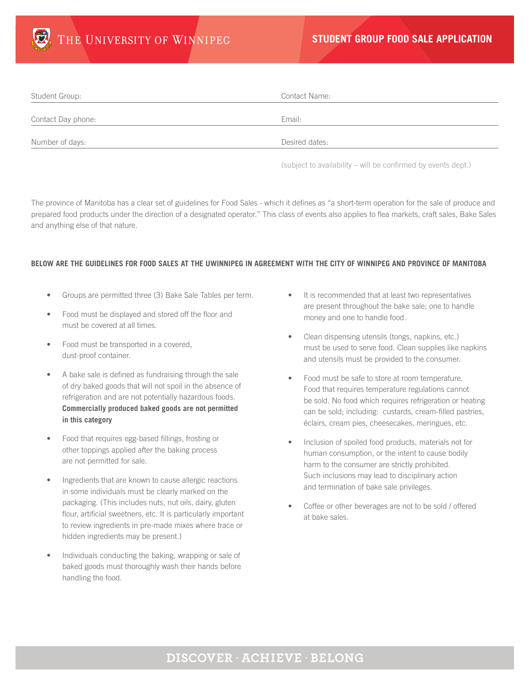

| Student Group:     | Contact Name:  |
|--------------------|----------------|
| Contact Day phone: | Email:         |
| Number of days:    | Desired dates: |

(subject to availability – will be confirmed by events dept.)

The province of Manitoba has a clear set of guidelines for Food Sales - which it defines as "a short-term operation for the sale of produce and prepared food products under the direction of a designated operator." This class of events also applies to flea markets, craft sales, Bake Sales and anything else of that nature.

## **BELOW ARE THE GUIDELINES FOR FOOD SALES AT THE UWINNIPEG IN AGREEMENT WITH THE CITY OF WINNIPEG AND PROVINCE OF MANITOBA**

- Groups are permitted three (3) Bake Sale Tables per term.
- Food must be displayed and stored off the floor and must be covered at all times.
- Food must be transported in a covered, dust-proof container.
- A bake sale is defined as fundraising through the sale of dry baked goods that will not spoil in the absence of refrigeration and are not potentially hazardous foods. **Commercially produced baked goods are not permitted in this category**
- Food that requires egg-based fillings, frosting or other toppings applied after the baking process are not permitted for sale.
- Ingredients that are known to cause allergic reactions in some individuals must be clearly marked on the packaging. (This includes nuts, nut oils, dairy, gluten flour, artificial sweetners, etc. It is particularly important to review ingredients in pre-made mixes where trace or hidden ingredients may be present.)
- Individuals conducting the baking, wrapping or sale of baked goods must thoroughly wash their hands before handling the food.
- It is recommended that at least two representatives are present throughout the bake sale; one to handle money and one to handle food.
- Clean dispensing utensils (tongs, napkins, etc.) must be used to serve food. Clean supplies like napkins and utensils must be provided to the consumer.
- Food must be safe to store at room temperature. Food that requires temperature regulations cannot be sold. No food which requires refrigeration or heating can be sold; including: custards, cream-filled pastries, éclairs, cream pies, cheesecakes, meringues, etc.
- Inclusion of spoiled food products, materials not for human consumption, or the intent to cause bodily harm to the consumer are strictly prohibited. Such inclusions may lead to disciplinary action and termination of bake sale privileges.
- Coffee or other beverages are not to be sold / offered at bake sales.